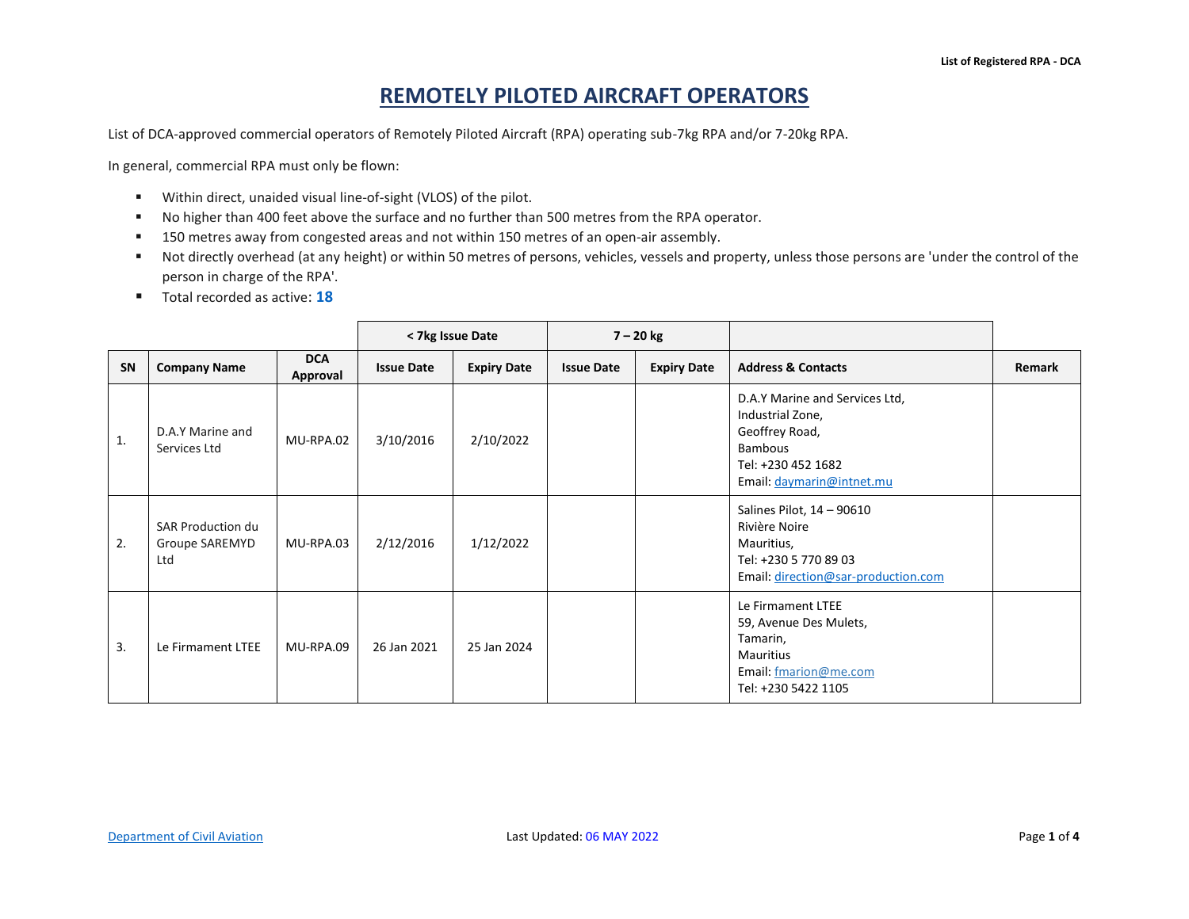## **REMOTELY PILOTED AIRCRAFT OPERATORS**

List of DCA-approved commercial operators of Remotely Piloted Aircraft (RPA) operating sub-7kg RPA and/or 7-20kg RPA.

In general, commercial RPA must only be flown:

- Within direct, unaided visual line-of-sight (VLOS) of the pilot.
- No higher than 400 feet above the surface and no further than 500 metres from the RPA operator.
- 150 metres away from congested areas and not within 150 metres of an open-air assembly.
- Not directly overhead (at any height) or within 50 metres of persons, vehicles, vessels and property, unless those persons are 'under the control of the person in charge of the RPA'.
- Total recorded as active: 18

|    |                                                   |                        |                   | < 7kg Issue Date   |                   | $7 - 20$ kg        |                                                                                                                                           |        |
|----|---------------------------------------------------|------------------------|-------------------|--------------------|-------------------|--------------------|-------------------------------------------------------------------------------------------------------------------------------------------|--------|
| SN | <b>Company Name</b>                               | <b>DCA</b><br>Approval | <b>Issue Date</b> | <b>Expiry Date</b> | <b>Issue Date</b> | <b>Expiry Date</b> | <b>Address &amp; Contacts</b>                                                                                                             | Remark |
| 1. | D.A.Y Marine and<br>Services Ltd                  | MU-RPA.02              | 3/10/2016         | 2/10/2022          |                   |                    | D.A.Y Marine and Services Ltd,<br>Industrial Zone,<br>Geoffrey Road,<br><b>Bambous</b><br>Tel: +230 452 1682<br>Email: daymarin@intnet.mu |        |
| 2. | <b>SAR Production du</b><br>Groupe SAREMYD<br>Ltd | MU-RPA.03              | 2/12/2016         | 1/12/2022          |                   |                    | Salines Pilot, 14 - 90610<br>Rivière Noire<br>Mauritius,<br>Tel: +230 5 770 89 03<br>Email: direction@sar-production.com                  |        |
| 3. | Le Firmament LTEE                                 | MU-RPA.09              | 26 Jan 2021       | 25 Jan 2024        |                   |                    | Le Firmament LTEE<br>59, Avenue Des Mulets,<br>Tamarin,<br>Mauritius<br>Email: fmarion@me.com<br>Tel: +230 5422 1105                      |        |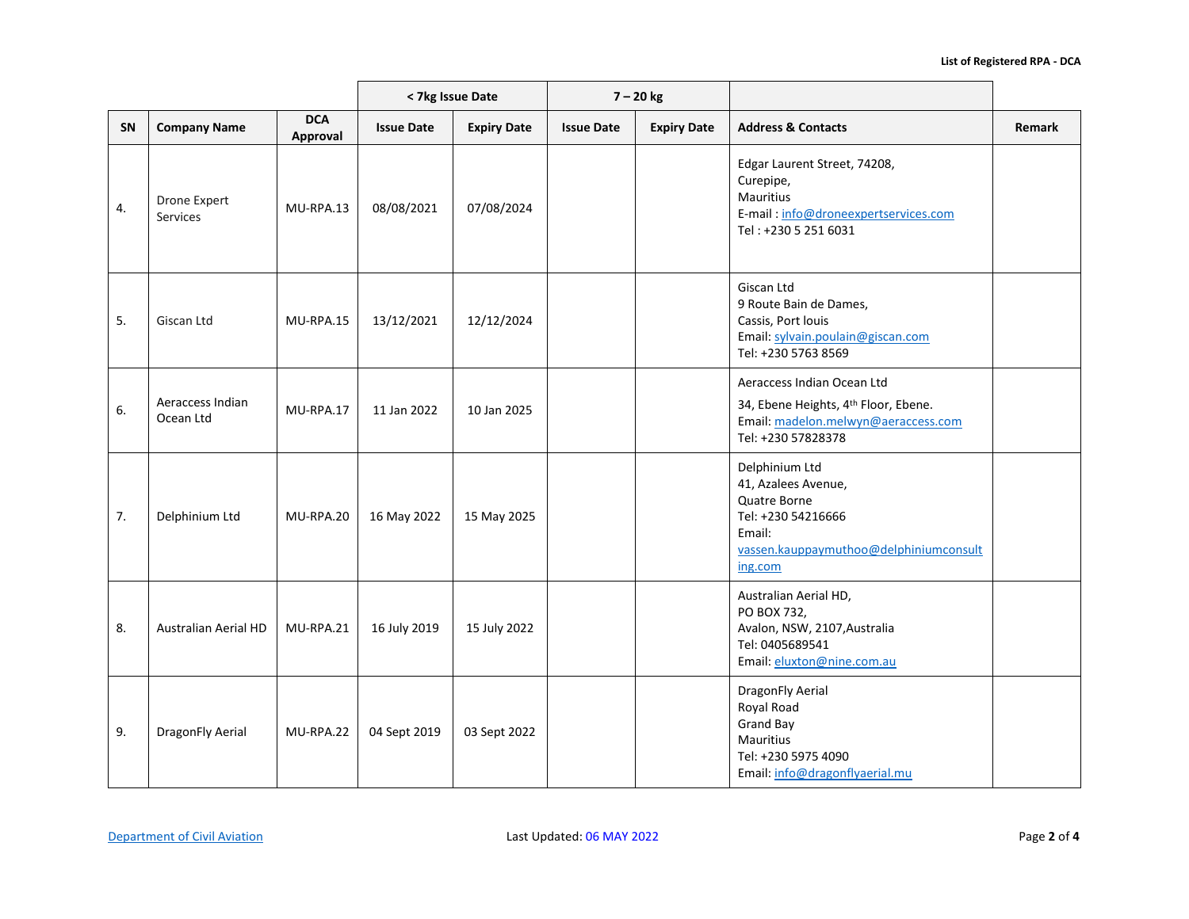|    |                               |                        |                   | < 7kg Issue Date   |                   | $7 - 20$ kg        |                                                                                                                                             |               |
|----|-------------------------------|------------------------|-------------------|--------------------|-------------------|--------------------|---------------------------------------------------------------------------------------------------------------------------------------------|---------------|
| SN | <b>Company Name</b>           | <b>DCA</b><br>Approval | <b>Issue Date</b> | <b>Expiry Date</b> | <b>Issue Date</b> | <b>Expiry Date</b> | <b>Address &amp; Contacts</b>                                                                                                               | <b>Remark</b> |
| 4. | Drone Expert<br>Services      | MU-RPA.13              | 08/08/2021        | 07/08/2024         |                   |                    | Edgar Laurent Street, 74208,<br>Curepipe,<br>Mauritius<br>E-mail: info@droneexpertservices.com<br>Tel: +230 5 251 6031                      |               |
| 5. | Giscan Ltd                    | MU-RPA.15              | 13/12/2021        | 12/12/2024         |                   |                    | Giscan Ltd<br>9 Route Bain de Dames,<br>Cassis, Port louis<br>Email: sylvain.poulain@giscan.com<br>Tel: +230 5763 8569                      |               |
| 6. | Aeraccess Indian<br>Ocean Ltd | MU-RPA.17              | 11 Jan 2022       | 10 Jan 2025        |                   |                    | Aeraccess Indian Ocean Ltd<br>34, Ebene Heights, 4 <sup>th</sup> Floor, Ebene.<br>Email: madelon.melwyn@aeraccess.com<br>Tel: +230 57828378 |               |
| 7. | Delphinium Ltd                | MU-RPA.20              | 16 May 2022       | 15 May 2025        |                   |                    | Delphinium Ltd<br>41, Azalees Avenue,<br>Quatre Borne<br>Tel: +230 54216666<br>Email:<br>vassen.kauppaymuthoo@delphiniumconsult<br>ing.com  |               |
| 8. | Australian Aerial HD          | MU-RPA.21              | 16 July 2019      | 15 July 2022       |                   |                    | Australian Aerial HD,<br>PO BOX 732,<br>Avalon, NSW, 2107, Australia<br>Tel: 0405689541<br>Email: eluxton@nine.com.au                       |               |
| 9. | DragonFly Aerial              | MU-RPA.22              | 04 Sept 2019      | 03 Sept 2022       |                   |                    | DragonFly Aerial<br>Royal Road<br><b>Grand Bay</b><br>Mauritius<br>Tel: +230 5975 4090<br>Email: info@dragonflyaerial.mu                    |               |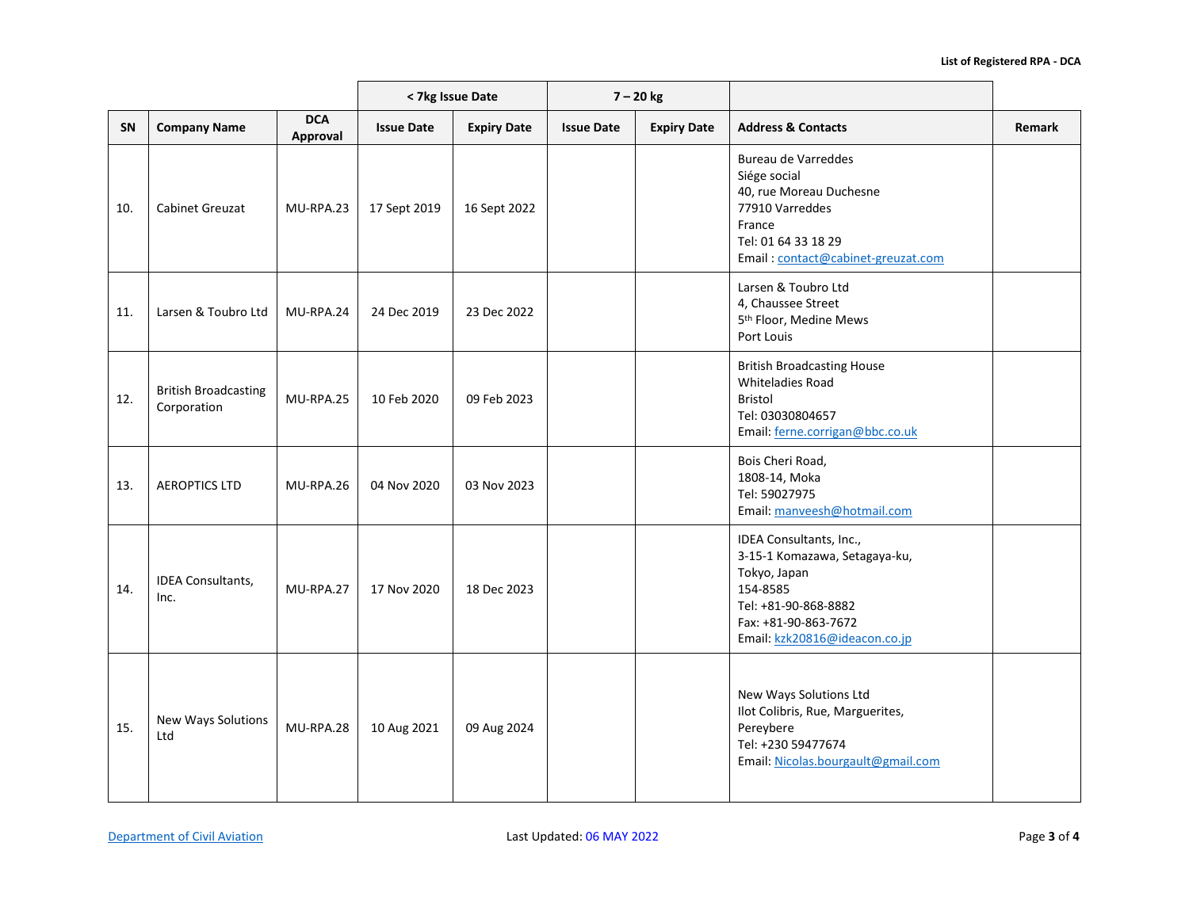|           |                                            | < 7kg Issue Date<br>$7 - 20$ kg |                   |                    |                   |                    |                                                                                                                                                                       |               |
|-----------|--------------------------------------------|---------------------------------|-------------------|--------------------|-------------------|--------------------|-----------------------------------------------------------------------------------------------------------------------------------------------------------------------|---------------|
| <b>SN</b> | <b>Company Name</b>                        | <b>DCA</b><br>Approval          | <b>Issue Date</b> | <b>Expiry Date</b> | <b>Issue Date</b> | <b>Expiry Date</b> | <b>Address &amp; Contacts</b>                                                                                                                                         | <b>Remark</b> |
| 10.       | <b>Cabinet Greuzat</b>                     | MU-RPA.23                       | 17 Sept 2019      | 16 Sept 2022       |                   |                    | Bureau de Varreddes<br>Siége social<br>40, rue Moreau Duchesne<br>77910 Varreddes<br>France<br>Tel: 01 64 33 18 29<br>Email: contact@cabinet-greuzat.com              |               |
| 11.       | Larsen & Toubro Ltd                        | MU-RPA.24                       | 24 Dec 2019       | 23 Dec 2022        |                   |                    | Larsen & Toubro Ltd<br>4, Chaussee Street<br>5 <sup>th</sup> Floor, Medine Mews<br>Port Louis                                                                         |               |
| 12.       | <b>British Broadcasting</b><br>Corporation | MU-RPA.25                       | 10 Feb 2020       | 09 Feb 2023        |                   |                    | <b>British Broadcasting House</b><br><b>Whiteladies Road</b><br><b>Bristol</b><br>Tel: 03030804657<br>Email: ferne.corrigan@bbc.co.uk                                 |               |
| 13.       | <b>AEROPTICS LTD</b>                       | MU-RPA.26                       | 04 Nov 2020       | 03 Nov 2023        |                   |                    | Bois Cheri Road,<br>1808-14, Moka<br>Tel: 59027975<br>Email: manveesh@hotmail.com                                                                                     |               |
| 14.       | <b>IDEA Consultants,</b><br>Inc.           | MU-RPA.27                       | 17 Nov 2020       | 18 Dec 2023        |                   |                    | IDEA Consultants, Inc.,<br>3-15-1 Komazawa, Setagaya-ku,<br>Tokyo, Japan<br>154-8585<br>Tel: +81-90-868-8882<br>Fax: +81-90-863-7672<br>Email: kzk20816@ideacon.co.jp |               |
| 15.       | New Ways Solutions<br>Ltd                  | MU-RPA.28                       | 10 Aug 2021       | 09 Aug 2024        |                   |                    | New Ways Solutions Ltd<br>Ilot Colibris, Rue, Marguerites,<br>Pereybere<br>Tel: +230 59477674<br>Email: Nicolas.bourgault@gmail.com                                   |               |